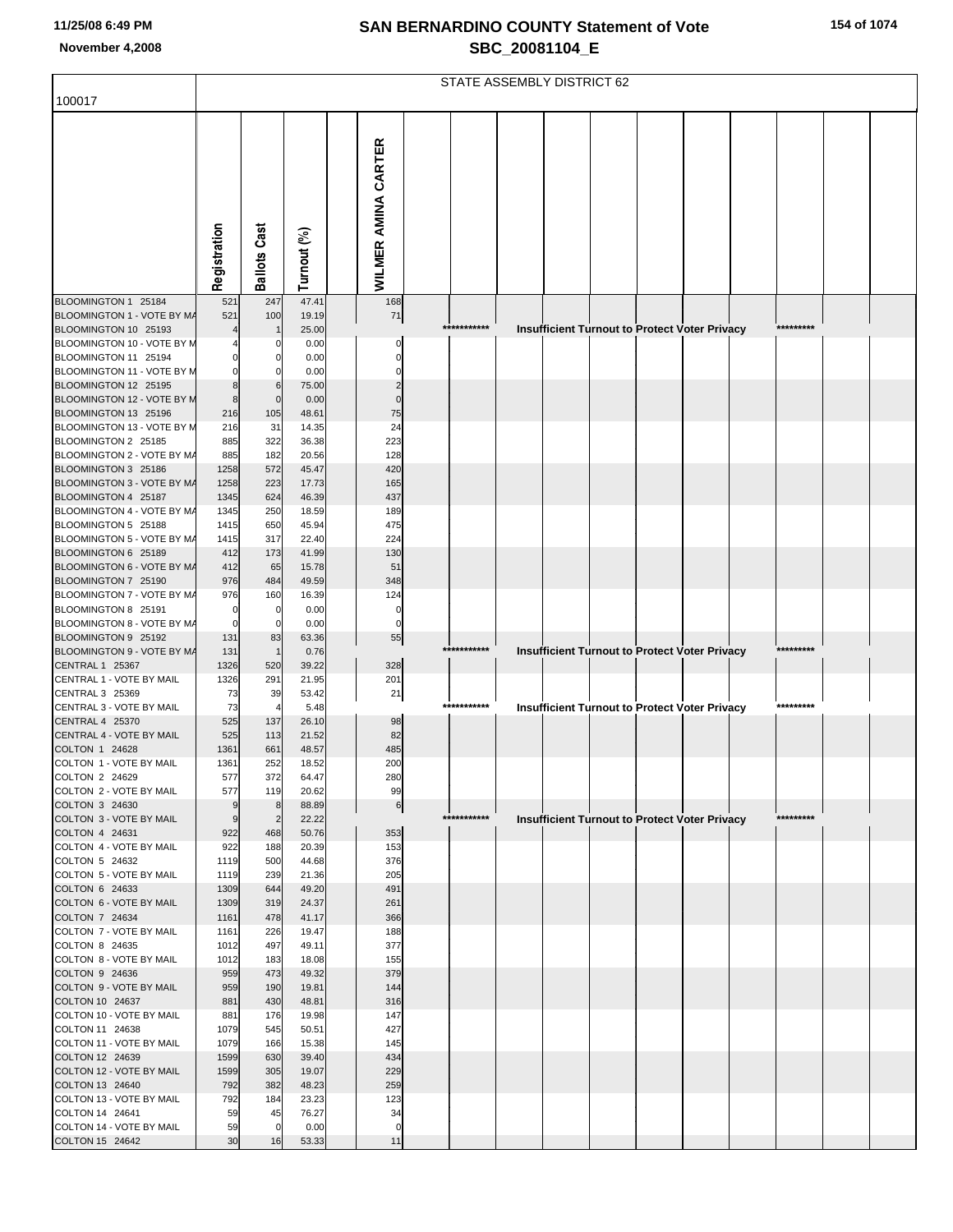|  |  |  | 154 of 1074 |
|--|--|--|-------------|
|--|--|--|-------------|

|                                                    |                     | STATE ASSEMBLY DISTRICT 62 |                |                      |                                                                                  |  |  |  |  |
|----------------------------------------------------|---------------------|----------------------------|----------------|----------------------|----------------------------------------------------------------------------------|--|--|--|--|
| 100017                                             |                     |                            |                |                      |                                                                                  |  |  |  |  |
|                                                    | Registration        | <b>Ballots Cast</b>        | Turnout (%)    | WILMER AMINA CARTER  |                                                                                  |  |  |  |  |
|                                                    |                     |                            |                |                      |                                                                                  |  |  |  |  |
| BLOOMINGTON 1 25184                                | 521                 | 247                        | 47.41          | 168                  |                                                                                  |  |  |  |  |
| BLOOMINGTON 1 - VOTE BY M/                         | 521                 | 100                        | 19.19          | 71                   | ***********<br>*********                                                         |  |  |  |  |
| BLOOMINGTON 10 25193<br>BLOOMINGTON 10 - VOTE BY M |                     | C                          | 25.00<br>0.00  | 0                    | Insufficient Turnout to Protect Voter Privacy                                    |  |  |  |  |
| BLOOMINGTON 11 25194                               | $\mathbf 0$         | n                          | 0.00           | $\mathbf{0}$         |                                                                                  |  |  |  |  |
| BLOOMINGTON 11 - VOTE BY M                         | $\mathbf 0$         | 0                          | 0.00           | 0                    |                                                                                  |  |  |  |  |
| BLOOMINGTON 12 25195                               | 8                   | 6                          | 75.00          | $\overline{2}$       |                                                                                  |  |  |  |  |
| BLOOMINGTON 12 - VOTE BY N                         | 8                   | $\mathbf 0$                | 0.00           | $\Omega$<br>75       |                                                                                  |  |  |  |  |
| BLOOMINGTON 13 25196<br>BLOOMINGTON 13 - VOTE BY M | 216<br>216          | 105<br>31                  | 48.61<br>14.35 | 24                   |                                                                                  |  |  |  |  |
| BLOOMINGTON 2 25185                                | 885                 | 322                        | 36.38          | 223                  |                                                                                  |  |  |  |  |
| BLOOMINGTON 2 - VOTE BY M/                         | 885                 | 182                        | 20.56          | 128                  |                                                                                  |  |  |  |  |
| BLOOMINGTON 3 25186                                | 1258                | 572                        | 45.47          | 420                  |                                                                                  |  |  |  |  |
| BLOOMINGTON 3 - VOTE BY M/<br>BLOOMINGTON 4 25187  | 1258<br>1345        | 223<br>624                 | 17.73<br>46.39 | 165<br>437           |                                                                                  |  |  |  |  |
| BLOOMINGTON 4 - VOTE BY M/                         | 1345                | 250                        | 18.59          | 189                  |                                                                                  |  |  |  |  |
| BLOOMINGTON 5 25188                                | 1415                | 650                        | 45.94          | 475                  |                                                                                  |  |  |  |  |
| BLOOMINGTON 5 - VOTE BY MA                         | 1415                | 317                        | 22.40          | 224                  |                                                                                  |  |  |  |  |
| BLOOMINGTON 6 25189                                | 412                 | 173                        | 41.99          | 130                  |                                                                                  |  |  |  |  |
| BLOOMINGTON 6 - VOTE BY MA<br>BLOOMINGTON 7 25190  | 412<br>976          | 65<br>484                  | 15.78<br>49.59 | 51<br>348            |                                                                                  |  |  |  |  |
| BLOOMINGTON 7 - VOTE BY M/                         | 976                 | 160                        | 16.39          | 124                  |                                                                                  |  |  |  |  |
| BLOOMINGTON 8 25191                                | $\mathbf 0$         | 0                          | 0.00           | 0                    |                                                                                  |  |  |  |  |
| BLOOMINGTON 8 - VOTE BY M/                         | 0                   | 0                          | 0.00           | 0                    |                                                                                  |  |  |  |  |
| BLOOMINGTON 9 25192<br>BLOOMINGTON 9 - VOTE BY M/  | 131<br>131          | 83<br>$\overline{1}$       | 63.36<br>0.76  | 55                   | ***********<br>*********                                                         |  |  |  |  |
| CENTRAL 1 25367                                    | 1326                | 520                        | 39.22          | 328                  | <b>Insufficient Turnout to Protect Voter Privacy</b>                             |  |  |  |  |
| CENTRAL 1 - VOTE BY MAIL                           | 1326                | 291                        | 21.95          | 201                  |                                                                                  |  |  |  |  |
| CENTRAL 3 25369                                    | 73                  | 39                         | 53.42          | 21                   |                                                                                  |  |  |  |  |
| CENTRAL 3 - VOTE BY MAIL                           | 73                  | $\overline{\phantom{a}}$   | 5.48           |                      | ***********<br><b>Insufficient Turnout to Protect Voter Privacy</b><br>********* |  |  |  |  |
| <b>CENTRAL 4 25370</b><br>CENTRAL 4 - VOTE BY MAIL | 525<br>525          | 137<br>113                 | 26.10<br>21.52 | 98<br>82             |                                                                                  |  |  |  |  |
| COLTON 1 24628                                     | 1361                | 661                        | 48.57          | 485                  |                                                                                  |  |  |  |  |
| COLTON 1 - VOTE BY MAIL                            | 1361                | 252                        | 18.52          | 200                  |                                                                                  |  |  |  |  |
| COLTON 2 24629                                     | 577                 | 372                        | 64.47          | 280                  |                                                                                  |  |  |  |  |
| COLTON 2 - VOTE BY MAIL                            | 577                 | 119                        | 20.62          | 99                   |                                                                                  |  |  |  |  |
| COLTON 3 24630<br>COLTON 3 - VOTE BY MAIL          | 9<br>$\overline{9}$ | 8<br>$\overline{2}$        | 88.89<br>22.22 | 6                    | ***********<br>*********<br><b>Insufficient Turnout to Protect Voter Privacy</b> |  |  |  |  |
| COLTON 4 24631                                     | 922                 | 468                        | 50.76          | 353                  |                                                                                  |  |  |  |  |
| COLTON 4 - VOTE BY MAIL                            | 922                 | 188                        | 20.39          | 153                  |                                                                                  |  |  |  |  |
| COLTON 5 24632                                     | 1119                | 500                        | 44.68          | 376                  |                                                                                  |  |  |  |  |
| COLTON 5 - VOTE BY MAIL<br>COLTON 6 24633          | 1119<br>1309        | 239<br>644                 | 21.36<br>49.20 | 205<br>491           |                                                                                  |  |  |  |  |
| COLTON 6 - VOTE BY MAIL                            | 1309                | 319                        | 24.37          | 261                  |                                                                                  |  |  |  |  |
| COLTON 7 24634                                     | 1161                | 478                        | 41.17          | 366                  |                                                                                  |  |  |  |  |
| COLTON 7 - VOTE BY MAIL                            | 1161                | 226                        | 19.47          | 188                  |                                                                                  |  |  |  |  |
| COLTON 8 24635<br>COLTON 8 - VOTE BY MAIL          | 1012<br>1012        | 497<br>183                 | 49.11<br>18.08 | 377                  |                                                                                  |  |  |  |  |
| COLTON 9 24636                                     | 959                 | 473                        | 49.32          | 155<br>379           |                                                                                  |  |  |  |  |
| COLTON 9 - VOTE BY MAIL                            | 959                 | 190                        | 19.81          | 144                  |                                                                                  |  |  |  |  |
| COLTON 10 24637                                    | 881                 | 430                        | 48.81          | 316                  |                                                                                  |  |  |  |  |
| COLTON 10 - VOTE BY MAIL                           | 881                 | 176                        | 19.98          | 147                  |                                                                                  |  |  |  |  |
| COLTON 11 24638<br>COLTON 11 - VOTE BY MAIL        | 1079<br>1079        | 545<br>166                 | 50.51<br>15.38 | 427<br>145           |                                                                                  |  |  |  |  |
| COLTON 12 24639                                    | 1599                | 630                        | 39.40          | 434                  |                                                                                  |  |  |  |  |
| COLTON 12 - VOTE BY MAIL                           | 1599                | 305                        | 19.07          | 229                  |                                                                                  |  |  |  |  |
| COLTON 13 24640                                    | 792                 | 382                        | 48.23          | 259                  |                                                                                  |  |  |  |  |
| COLTON 13 - VOTE BY MAIL                           | 792                 | 184                        | 23.23          | 123                  |                                                                                  |  |  |  |  |
| COLTON 14 24641<br>COLTON 14 - VOTE BY MAIL        | 59<br>59            | 45<br>$\mathbf 0$          | 76.27<br>0.00  | 34<br>$\overline{0}$ |                                                                                  |  |  |  |  |
| COLTON 15 24642                                    | 30                  | 16                         | 53.33          | 11                   |                                                                                  |  |  |  |  |
|                                                    |                     |                            |                |                      |                                                                                  |  |  |  |  |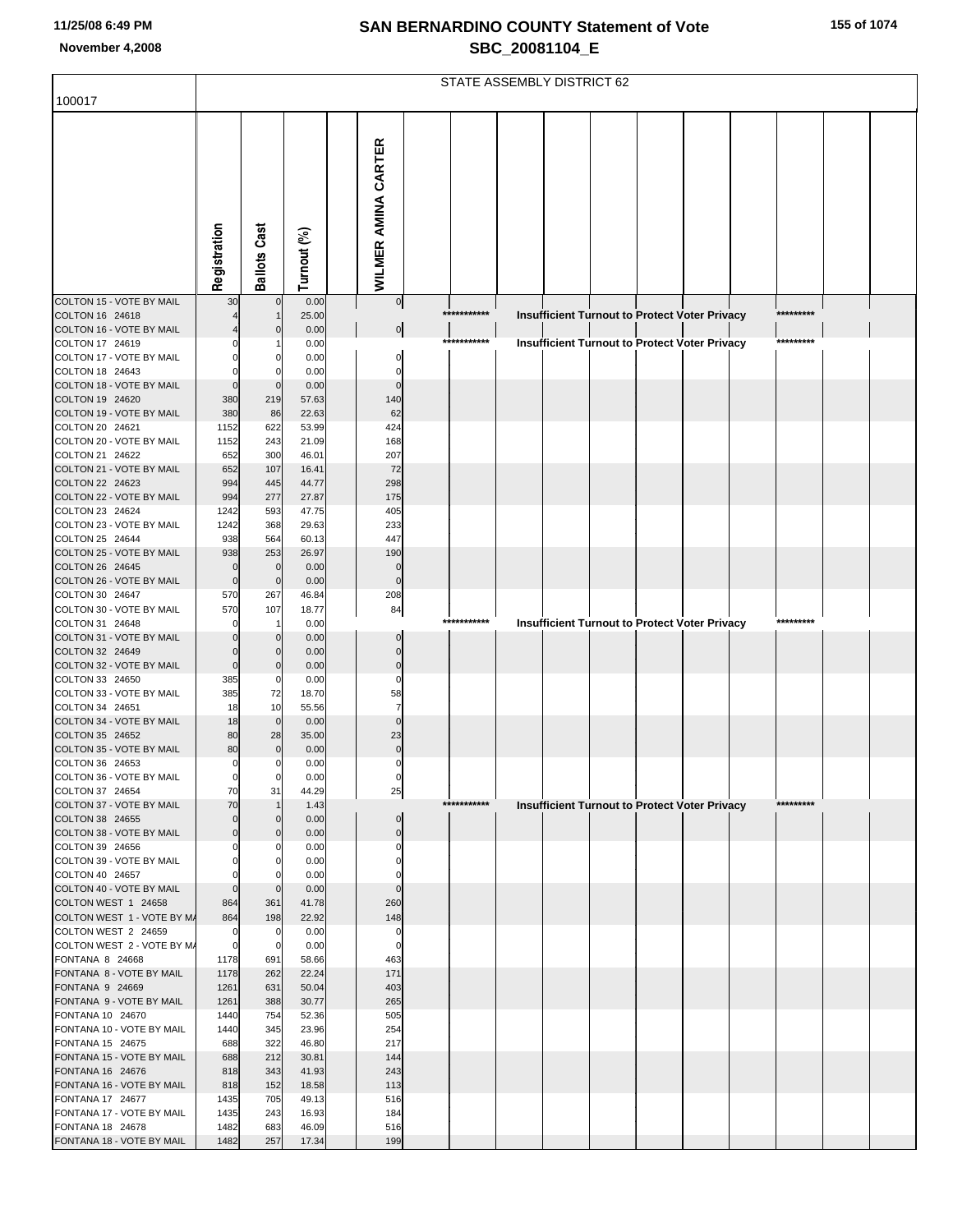| 155 of 1074 |  |
|-------------|--|
|-------------|--|

|                                                   |                            | STATE ASSEMBLY DISTRICT 62       |                |                             |             |                                                      |  |  |  |           |  |
|---------------------------------------------------|----------------------------|----------------------------------|----------------|-----------------------------|-------------|------------------------------------------------------|--|--|--|-----------|--|
| 100017                                            |                            |                                  |                |                             |             |                                                      |  |  |  |           |  |
|                                                   | Registration               | <b>Ballots Cast</b>              | Turnout (%)    | <b>WILMER AMINA CARTER</b>  |             |                                                      |  |  |  |           |  |
| COLTON 15 - VOTE BY MAIL                          | 30                         | $\mathbf{0}$                     | 0.00           | 0                           | *********** |                                                      |  |  |  | ********* |  |
| COLTON 16 24618<br>COLTON 16 - VOTE BY MAIL       |                            | $\Omega$                         | 25.00<br>0.00  | 이                           |             | Insufficient Turnout to Protect Voter Privacy        |  |  |  |           |  |
| COLTON 17 24619                                   |                            |                                  | 0.00           |                             | *********** | <b>Insufficient Turnout to Protect Voter Privacy</b> |  |  |  | ********* |  |
| COLTON 17 - VOTE BY MAIL<br>COLTON 18 24643       | $\Omega$                   |                                  | 0.00<br>0.00   | 0<br>0                      |             |                                                      |  |  |  |           |  |
| COLTON 18 - VOTE BY MAIL                          | $\Omega$                   | $\mathbf 0$                      | 0.00           | $\Omega$                    |             |                                                      |  |  |  |           |  |
| COLTON 19 24620                                   | 380                        | 219                              | 57.63          | 140                         |             |                                                      |  |  |  |           |  |
| COLTON 19 - VOTE BY MAIL<br>COLTON 20 24621       | 380<br>1152                | 86<br>622                        | 22.63<br>53.99 | 62<br>424                   |             |                                                      |  |  |  |           |  |
| COLTON 20 - VOTE BY MAIL                          | 1152                       | 243                              | 21.09          | 168                         |             |                                                      |  |  |  |           |  |
| COLTON 21 24622<br>COLTON 21 - VOTE BY MAIL       | 652<br>652                 | 300                              | 46.01<br>16.41 | 207<br>72                   |             |                                                      |  |  |  |           |  |
| COLTON 22 24623                                   | 994                        | 107<br>445                       | 44.77          | 298                         |             |                                                      |  |  |  |           |  |
| COLTON 22 - VOTE BY MAIL                          | 994                        | 277                              | 27.87          | 175                         |             |                                                      |  |  |  |           |  |
| COLTON 23 24624<br>COLTON 23 - VOTE BY MAIL       | 1242<br>1242               | 593<br>368                       | 47.75<br>29.63 | 405<br>233                  |             |                                                      |  |  |  |           |  |
| COLTON 25 24644                                   | 938                        | 564                              | 60.13          | 447                         |             |                                                      |  |  |  |           |  |
| COLTON 25 - VOTE BY MAIL                          | 938                        | 253                              | 26.97          | 190                         |             |                                                      |  |  |  |           |  |
| COLTON 26 24645<br>COLTON 26 - VOTE BY MAIL       | $\mathbf 0$<br>$\mathbf 0$ | $\mathbf 0$<br>$\mathbf 0$       | 0.00<br>0.00   | $\mathbf 0$<br>$\mathbf{0}$ |             |                                                      |  |  |  |           |  |
| COLTON 30 24647                                   | 570                        | 267                              | 46.84          | 208                         |             |                                                      |  |  |  |           |  |
| COLTON 30 - VOTE BY MAIL                          | 570<br>0                   | 107                              | 18.77          | 84                          | *********** |                                                      |  |  |  | ********* |  |
| COLTON 31 24648<br>COLTON 31 - VOTE BY MAIL       |                            | $\mathbf 0$                      | 0.00<br>0.00   | $\Omega$                    |             | Insufficient Turnout to Protect Voter Privacy        |  |  |  |           |  |
| COLTON 32 24649                                   | $\Omega$                   | $\mathbf 0$                      | 0.00           | $\mathbf 0$                 |             |                                                      |  |  |  |           |  |
| COLTON 32 - VOTE BY MAIL<br>COLTON 33 24650       | $\mathbf 0$<br>385         | $\mathbf 0$<br>0                 | 0.00<br>0.00   | $\overline{0}$<br>$\Omega$  |             |                                                      |  |  |  |           |  |
| COLTON 33 - VOTE BY MAIL                          | 385                        | 72                               | 18.70          | 58                          |             |                                                      |  |  |  |           |  |
| COLTON 34 24651                                   | 18                         | 10                               | 55.56          | $\overline{7}$              |             |                                                      |  |  |  |           |  |
| COLTON 34 - VOTE BY MAIL<br>COLTON 35 24652       | 18<br>80                   | $\mathbf 0$<br>28                | 0.00<br>35.00  | $\Omega$<br>23              |             |                                                      |  |  |  |           |  |
| COLTON 35 - VOTE BY MAIL                          | 80                         | $\mathbf 0$                      | 0.00           | $\pmb{0}$                   |             |                                                      |  |  |  |           |  |
| COLTON 36 24653<br>COLTON 36 - VOTE BY MAIL       | $\mathbf 0$<br>$\circ$     | $\overline{0}$<br>$\overline{0}$ | 0.00<br>0.00   | $\pmb{0}$                   |             |                                                      |  |  |  |           |  |
| COLTON 37 24654                                   | 70                         | 31                               | 44.29          | $\boldsymbol{0}$<br>25      |             |                                                      |  |  |  |           |  |
| COLTON 37 - VOTE BY MAIL                          | 70                         |                                  | 1.43           |                             | *********** | <b>Insufficient Turnout to Protect Voter Privacy</b> |  |  |  | ********* |  |
| COLTON 38 24655<br>COLTON 38 - VOTE BY MAIL       | $\mathbf 0$<br>$\mathbf 0$ | $\mathbf 0$<br>$\mathbf 0$       | 0.00<br>0.00   | $\mathbf 0$<br>$\pmb{0}$    |             |                                                      |  |  |  |           |  |
| COLTON 39 24656                                   | $\Omega$                   | $\mathbf 0$                      | 0.00           | 0                           |             |                                                      |  |  |  |           |  |
| COLTON 39 - VOTE BY MAIL                          | $\Omega$<br>$\Omega$       | $\Omega$<br>$\mathbf 0$          | 0.00<br>0.00   | $\Omega$<br>$\Omega$        |             |                                                      |  |  |  |           |  |
| COLTON 40 24657<br>COLTON 40 - VOTE BY MAIL       | $\mathbf 0$                | $\mathbf 0$                      | 0.00           | $\Omega$                    |             |                                                      |  |  |  |           |  |
| COLTON WEST 1 24658                               | 864                        | 361                              | 41.78          | 260                         |             |                                                      |  |  |  |           |  |
| COLTON WEST 1 - VOTE BY M/<br>COLTON WEST 2 24659 | 864<br>0                   | 198<br>$\mathbf 0$               | 22.92<br>0.00  | 148<br>0                    |             |                                                      |  |  |  |           |  |
| COLTON WEST 2 - VOTE BY M/                        | $\mathbf 0$                | $\mathbf 0$                      | 0.00           | $\mathbf 0$                 |             |                                                      |  |  |  |           |  |
| FONTANA 8 24668                                   | 1178                       | 691                              | 58.66          | 463                         |             |                                                      |  |  |  |           |  |
| FONTANA 8 - VOTE BY MAIL<br>FONTANA 9 24669       | 1178<br>1261               | 262<br>631                       | 22.24<br>50.04 | 171<br>403                  |             |                                                      |  |  |  |           |  |
| FONTANA 9 - VOTE BY MAIL                          | 1261                       | 388                              | 30.77          | 265                         |             |                                                      |  |  |  |           |  |
| FONTANA 10 24670                                  | 1440<br>1440               | 754<br>345                       | 52.36<br>23.96 | 505<br>254                  |             |                                                      |  |  |  |           |  |
| FONTANA 10 - VOTE BY MAIL<br>FONTANA 15 24675     | 688                        | 322                              | 46.80          | 217                         |             |                                                      |  |  |  |           |  |
| FONTANA 15 - VOTE BY MAIL                         | 688                        | 212                              | 30.81          | 144                         |             |                                                      |  |  |  |           |  |
| FONTANA 16 24676<br>FONTANA 16 - VOTE BY MAIL     | 818<br>818                 | 343<br>152                       | 41.93<br>18.58 | 243<br>113                  |             |                                                      |  |  |  |           |  |
| FONTANA 17 24677                                  | 1435                       | 705                              | 49.13          | 516                         |             |                                                      |  |  |  |           |  |
| FONTANA 17 - VOTE BY MAIL                         | 1435                       | 243                              | 16.93          | 184                         |             |                                                      |  |  |  |           |  |
| FONTANA 18 24678<br>FONTANA 18 - VOTE BY MAIL     | 1482<br>1482               | 683<br>257                       | 46.09<br>17.34 | 516<br>199                  |             |                                                      |  |  |  |           |  |
|                                                   |                            |                                  |                |                             |             |                                                      |  |  |  |           |  |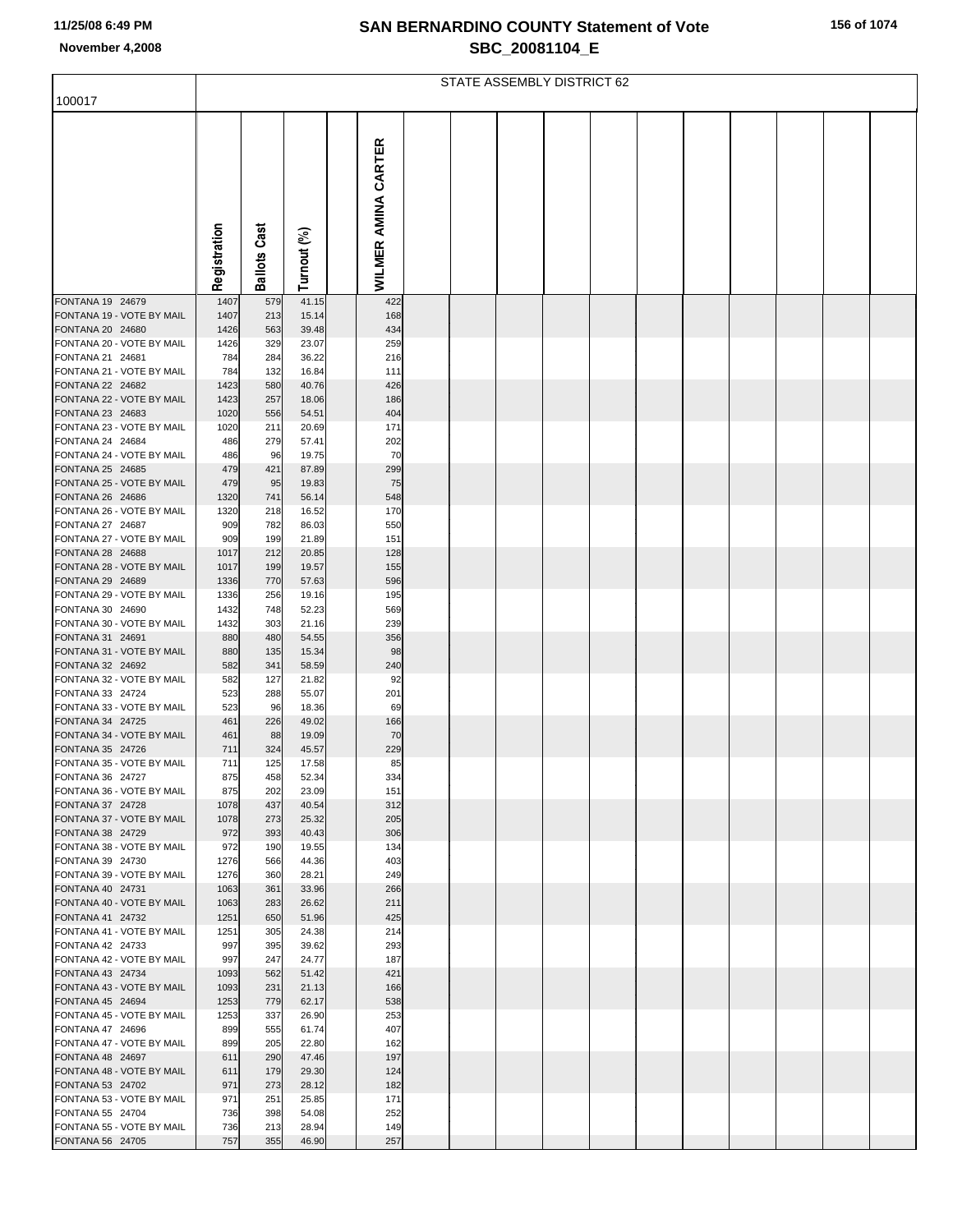|  | 156 of 1074 |
|--|-------------|
|--|-------------|

|                                               |              | STATE ASSEMBLY DISTRICT 62 |                |                            |  |  |  |  |  |  |  |  |
|-----------------------------------------------|--------------|----------------------------|----------------|----------------------------|--|--|--|--|--|--|--|--|
| 100017                                        |              |                            |                |                            |  |  |  |  |  |  |  |  |
|                                               | Registration | Cast<br><b>Ballots</b>     | Turnout (%)    | <b>WILMER AMINA CARTER</b> |  |  |  |  |  |  |  |  |
| FONTANA 19 24679                              | 1407         | 579                        | 41.15          | 422                        |  |  |  |  |  |  |  |  |
| FONTANA 19 - VOTE BY MAIL                     | 1407         | 213                        | 15.14          | 168                        |  |  |  |  |  |  |  |  |
| FONTANA 20 24680<br>FONTANA 20 - VOTE BY MAIL | 1426<br>1426 | 563<br>329                 | 39.48<br>23.07 | 434<br>259                 |  |  |  |  |  |  |  |  |
| FONTANA 21 24681                              | 784          | 284                        | 36.22          | 216                        |  |  |  |  |  |  |  |  |
| FONTANA 21 - VOTE BY MAIL                     | 784          | 132                        | 16.84          | 111                        |  |  |  |  |  |  |  |  |
| FONTANA 22 24682                              | 1423         | 580                        | 40.76          | 426                        |  |  |  |  |  |  |  |  |
| FONTANA 22 - VOTE BY MAIL                     | 1423         | 257                        | 18.06          | 186                        |  |  |  |  |  |  |  |  |
| FONTANA 23 24683<br>FONTANA 23 - VOTE BY MAIL | 1020<br>1020 | 556<br>211                 | 54.51<br>20.69 | 404<br>171                 |  |  |  |  |  |  |  |  |
| FONTANA 24 24684                              | 486          | 279                        | 57.41          | 202                        |  |  |  |  |  |  |  |  |
| FONTANA 24 - VOTE BY MAIL                     | 486          | 96                         | 19.75          | 70                         |  |  |  |  |  |  |  |  |
| FONTANA 25 24685                              | 479          | 421                        | 87.89          | 299                        |  |  |  |  |  |  |  |  |
| FONTANA 25 - VOTE BY MAIL                     | 479          | 95                         | 19.83          | 75                         |  |  |  |  |  |  |  |  |
| FONTANA 26 24686<br>FONTANA 26 - VOTE BY MAIL | 1320<br>1320 | 741<br>218                 | 56.14<br>16.52 | 548<br>170                 |  |  |  |  |  |  |  |  |
| FONTANA 27 24687                              | 909          | 782                        | 86.03          | 550                        |  |  |  |  |  |  |  |  |
| FONTANA 27 - VOTE BY MAIL                     | 909          | 199                        | 21.89          | 151                        |  |  |  |  |  |  |  |  |
| FONTANA 28 24688                              | 1017         | 212                        | 20.85          | 128                        |  |  |  |  |  |  |  |  |
| FONTANA 28 - VOTE BY MAIL<br>FONTANA 29 24689 | 1017<br>1336 | 199<br>770                 | 19.57<br>57.63 | 155<br>596                 |  |  |  |  |  |  |  |  |
| FONTANA 29 - VOTE BY MAIL                     | 1336         | 256                        | 19.16          | 195                        |  |  |  |  |  |  |  |  |
| FONTANA 30 24690                              | 1432         | 748                        | 52.23          | 569                        |  |  |  |  |  |  |  |  |
| FONTANA 30 - VOTE BY MAIL                     | 1432         | 303                        | 21.16          | 239                        |  |  |  |  |  |  |  |  |
| FONTANA 31 24691<br>FONTANA 31 - VOTE BY MAIL | 880<br>880   | 480                        | 54.55          | 356<br>98                  |  |  |  |  |  |  |  |  |
| FONTANA 32 24692                              | 582          | 135<br>341                 | 15.34<br>58.59 | 240                        |  |  |  |  |  |  |  |  |
| FONTANA 32 - VOTE BY MAIL                     | 582          | 127                        | 21.82          | 92                         |  |  |  |  |  |  |  |  |
| FONTANA 33 24724                              | 523          | 288                        | 55.07          | 201                        |  |  |  |  |  |  |  |  |
| FONTANA 33 - VOTE BY MAIL                     | 523          | 96                         | 18.36          | 69                         |  |  |  |  |  |  |  |  |
| FONTANA 34 24725<br>FONTANA 34 - VOTE BY MAIL | 461<br>461   | 226<br>88                  | 49.02<br>19.09 | 166<br>70                  |  |  |  |  |  |  |  |  |
| FONTANA 35 24726                              | 711          | 324                        | 45.57          | 229                        |  |  |  |  |  |  |  |  |
| FONTANA 35 - VOTE BY MAIL                     | 711          | 125                        | 17.58          | 85                         |  |  |  |  |  |  |  |  |
| FONTANA 36 24727                              | 875          | 458                        | 52.34          | 334                        |  |  |  |  |  |  |  |  |
| FONTANA 36 - VOTE BY MAIL<br>FONTANA 37 24728 | 875<br>1078  | 202<br>437                 | 23.09<br>40.54 | 151<br>312                 |  |  |  |  |  |  |  |  |
| FONTANA 37 - VOTE BY MAIL                     | 1078         | 273                        | 25.32          | 205                        |  |  |  |  |  |  |  |  |
| FONTANA 38 24729                              | 972          | 393                        | 40.43          | 306                        |  |  |  |  |  |  |  |  |
| FONTANA 38 - VOTE BY MAIL                     | 972          | 190                        | 19.55          | 134                        |  |  |  |  |  |  |  |  |
| FONTANA 39 24730                              | 1276         | 566                        | 44.36          | 403                        |  |  |  |  |  |  |  |  |
| FONTANA 39 - VOTE BY MAIL<br>FONTANA 40 24731 | 1276<br>1063 | 360<br>361                 | 28.21<br>33.96 | 249<br>266                 |  |  |  |  |  |  |  |  |
| FONTANA 40 - VOTE BY MAIL                     | 1063         | 283                        | 26.62          | 211                        |  |  |  |  |  |  |  |  |
| FONTANA 41 24732                              | 1251         | 650                        | 51.96          | 425                        |  |  |  |  |  |  |  |  |
| FONTANA 41 - VOTE BY MAIL                     | 1251         | 305                        | 24.38          | 214                        |  |  |  |  |  |  |  |  |
| FONTANA 42 24733<br>FONTANA 42 - VOTE BY MAIL | 997<br>997   | 395<br>247                 | 39.62<br>24.77 | 293<br>187                 |  |  |  |  |  |  |  |  |
| FONTANA 43 24734                              | 1093         | 562                        | 51.42          | 421                        |  |  |  |  |  |  |  |  |
| FONTANA 43 - VOTE BY MAIL                     | 1093         | 231                        | 21.13          | 166                        |  |  |  |  |  |  |  |  |
| FONTANA 45 24694                              | 1253         | 779                        | 62.17          | 538                        |  |  |  |  |  |  |  |  |
| FONTANA 45 - VOTE BY MAIL                     | 1253         | 337                        | 26.90          | 253                        |  |  |  |  |  |  |  |  |
| FONTANA 47 24696<br>FONTANA 47 - VOTE BY MAIL | 899<br>899   | 555<br>205                 | 61.74<br>22.80 | 407<br>162                 |  |  |  |  |  |  |  |  |
| FONTANA 48 24697                              | 611          | 290                        | 47.46          | 197                        |  |  |  |  |  |  |  |  |
| FONTANA 48 - VOTE BY MAIL                     | 611          | 179                        | 29.30          | 124                        |  |  |  |  |  |  |  |  |
| FONTANA 53 24702                              | 971          | 273                        | 28.12          | 182                        |  |  |  |  |  |  |  |  |
| FONTANA 53 - VOTE BY MAIL<br>FONTANA 55 24704 | 971<br>736   | 251<br>398                 | 25.85<br>54.08 | 171<br>252                 |  |  |  |  |  |  |  |  |
| FONTANA 55 - VOTE BY MAIL                     | 736          | 213                        | 28.94          | 149                        |  |  |  |  |  |  |  |  |
| FONTANA 56 24705                              | 757          | 355                        | 46.90          | 257                        |  |  |  |  |  |  |  |  |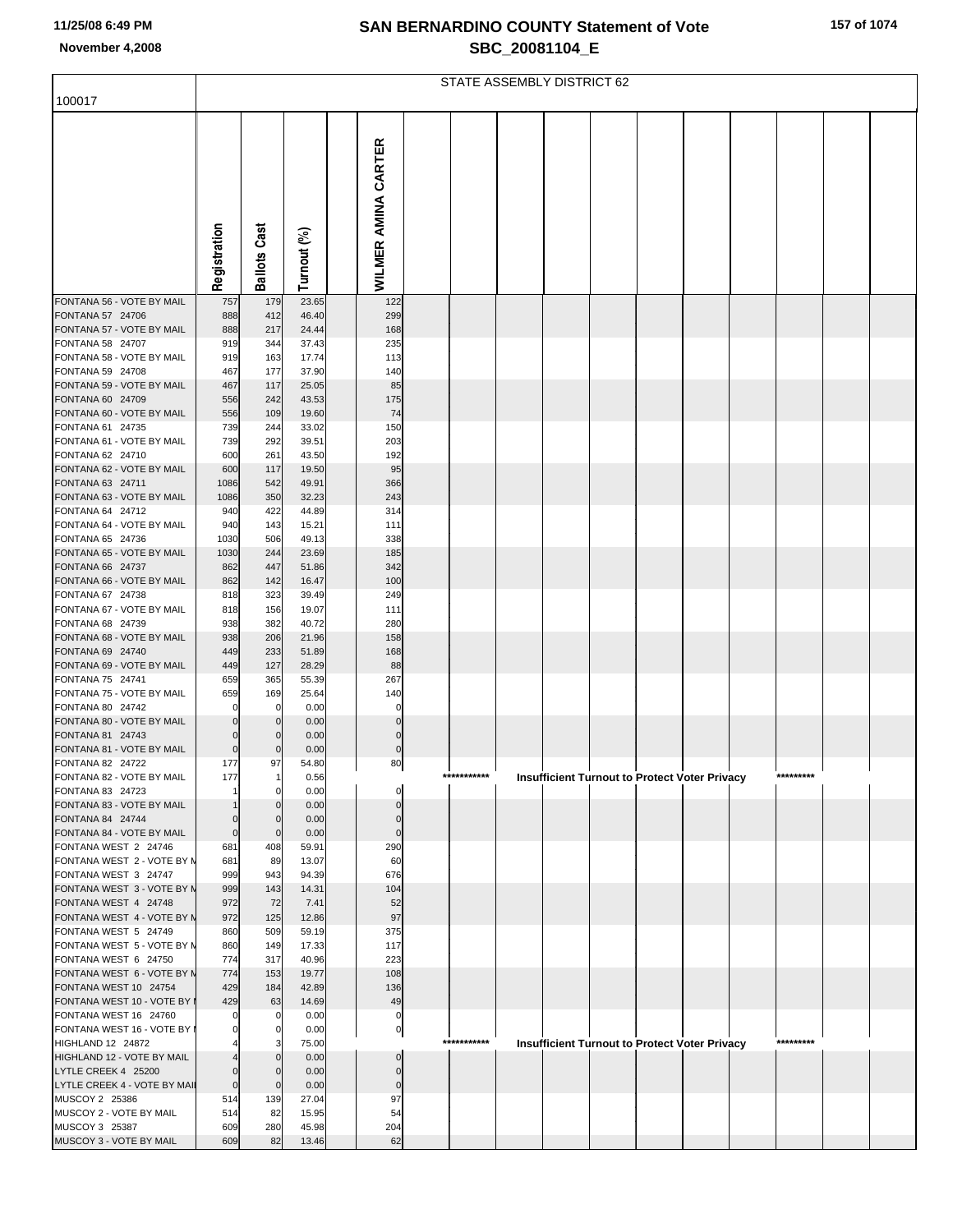| 157 of 1074 |  |
|-------------|--|
|-------------|--|

|                                                      | STATE ASSEMBLY DISTRICT 62 |                         |                |                            |  |             |  |  |  |                                                      |           |  |
|------------------------------------------------------|----------------------------|-------------------------|----------------|----------------------------|--|-------------|--|--|--|------------------------------------------------------|-----------|--|
| 100017                                               |                            |                         |                |                            |  |             |  |  |  |                                                      |           |  |
|                                                      | Registration               | <b>Ballots Cast</b>     | Turnout (%)    | <b>WILMER AMINA CARTER</b> |  |             |  |  |  |                                                      |           |  |
| FONTANA 56 - VOTE BY MAIL                            | 757                        | 179                     | 23.65          | 122                        |  |             |  |  |  |                                                      |           |  |
| FONTANA 57 24706<br>FONTANA 57 - VOTE BY MAIL        | 888<br>888                 | 412<br>217              | 46.40<br>24.44 | 299<br>168                 |  |             |  |  |  |                                                      |           |  |
| FONTANA 58 24707                                     | 919                        | 344                     | 37.43          | 235                        |  |             |  |  |  |                                                      |           |  |
| FONTANA 58 - VOTE BY MAIL                            | 919                        | 163                     | 17.74          | 113                        |  |             |  |  |  |                                                      |           |  |
| FONTANA 59 24708                                     | 467                        | 177                     | 37.90          | 140                        |  |             |  |  |  |                                                      |           |  |
| FONTANA 59 - VOTE BY MAIL<br>FONTANA 60 24709        | 467<br>556                 | 117<br>242              | 25.05<br>43.53 | 85<br>175                  |  |             |  |  |  |                                                      |           |  |
| FONTANA 60 - VOTE BY MAIL                            | 556                        | 109                     | 19.60          | 74                         |  |             |  |  |  |                                                      |           |  |
| FONTANA 61 24735                                     | 739                        | 244                     | 33.02          | 150                        |  |             |  |  |  |                                                      |           |  |
| FONTANA 61 - VOTE BY MAIL<br>FONTANA 62 24710        | 739<br>600                 | 292<br>261              | 39.51<br>43.50 | 203<br>192                 |  |             |  |  |  |                                                      |           |  |
| FONTANA 62 - VOTE BY MAIL                            | 600                        | 117                     | 19.50          | 95                         |  |             |  |  |  |                                                      |           |  |
| FONTANA 63 24711                                     | 1086                       | 542                     | 49.91          | 366                        |  |             |  |  |  |                                                      |           |  |
| FONTANA 63 - VOTE BY MAIL                            | 1086                       | 350                     | 32.23          | 243                        |  |             |  |  |  |                                                      |           |  |
| FONTANA 64 24712<br>FONTANA 64 - VOTE BY MAIL        | 940<br>940                 | 422<br>143              | 44.89<br>15.21 | 314<br>111                 |  |             |  |  |  |                                                      |           |  |
| FONTANA 65 24736                                     | 1030                       | 506                     | 49.13          | 338                        |  |             |  |  |  |                                                      |           |  |
| FONTANA 65 - VOTE BY MAIL                            | 1030                       | 244                     | 23.69          | 185                        |  |             |  |  |  |                                                      |           |  |
| FONTANA 66 24737                                     | 862                        | 447                     | 51.86          | 342                        |  |             |  |  |  |                                                      |           |  |
| FONTANA 66 - VOTE BY MAIL                            | 862                        | 142                     | 16.47          | 100                        |  |             |  |  |  |                                                      |           |  |
| FONTANA 67 24738<br>FONTANA 67 - VOTE BY MAIL        | 818<br>818                 | 323<br>156              | 39.49<br>19.07 | 249<br>111                 |  |             |  |  |  |                                                      |           |  |
| FONTANA 68 24739                                     | 938                        | 382                     | 40.72          | 280                        |  |             |  |  |  |                                                      |           |  |
| FONTANA 68 - VOTE BY MAIL                            | 938                        | 206                     | 21.96          | 158                        |  |             |  |  |  |                                                      |           |  |
| FONTANA 69 24740                                     | 449                        | 233                     | 51.89          | 168                        |  |             |  |  |  |                                                      |           |  |
| FONTANA 69 - VOTE BY MAIL<br>FONTANA 75 24741        | 449<br>659                 | 127<br>365              | 28.29<br>55.39 | 88<br>267                  |  |             |  |  |  |                                                      |           |  |
| FONTANA 75 - VOTE BY MAIL                            | 659                        | 169                     | 25.64          | 140                        |  |             |  |  |  |                                                      |           |  |
| FONTANA 80 24742                                     | 0                          | $\Omega$                | 0.00           | 0                          |  |             |  |  |  |                                                      |           |  |
| FONTANA 80 - VOTE BY MAIL                            | $\Omega$                   | $\Omega$                | 0.00           | $\Omega$                   |  |             |  |  |  |                                                      |           |  |
| FONTANA 81 24743<br>FONTANA 81 - VOTE BY MAIL        | $\Omega$<br>$\mathbf 0$    | $\Omega$<br>$\mathbf 0$ | 0.00<br>0.00   | $\Omega$<br>$\mathbf 0$    |  |             |  |  |  |                                                      |           |  |
| FONTANA 82 24722                                     | 177                        | 97                      | 54.80          | 80                         |  |             |  |  |  |                                                      |           |  |
| FONTANA 82 - VOTE BY MAIL                            | 177                        | 1                       | 0.56           |                            |  | *********** |  |  |  | <b>Insufficient Turnout to Protect Voter Privacy</b> | ********* |  |
| FONTANA 83 24723<br>FONTANA 83 - VOTE BY MAIL        |                            | $\Omega$<br>$\Omega$    | 0.00           |                            |  |             |  |  |  |                                                      |           |  |
| FONTANA 84 24744                                     | $\mathbf 0$                | $\Omega$                | 0.00<br>0.00   | $\Omega$                   |  |             |  |  |  |                                                      |           |  |
| FONTANA 84 - VOTE BY MAIL                            | $\pmb{0}$                  | $\mathbf{0}$            | 0.00           | $\mathbf 0$                |  |             |  |  |  |                                                      |           |  |
| FONTANA WEST 2 24746                                 | 681                        | 408                     | 59.91          | 290                        |  |             |  |  |  |                                                      |           |  |
| FONTANA WEST 2 - VOTE BY N<br>FONTANA WEST 3 24747   | 681<br>999                 | 89<br>943               | 13.07<br>94.39 | 60<br>676                  |  |             |  |  |  |                                                      |           |  |
| FONTANA WEST 3 - VOTE BY N                           | 999                        | 143                     | 14.31          | 104                        |  |             |  |  |  |                                                      |           |  |
| FONTANA WEST 4 24748                                 | 972                        | 72                      | 7.41           | 52                         |  |             |  |  |  |                                                      |           |  |
| FONTANA WEST 4 - VOTE BY N                           | 972                        | 125                     | 12.86          | 97                         |  |             |  |  |  |                                                      |           |  |
| FONTANA WEST 5 24749<br>FONTANA WEST 5 - VOTE BY N   | 860<br>860                 | 509<br>149              | 59.19<br>17.33 | 375<br>117                 |  |             |  |  |  |                                                      |           |  |
| FONTANA WEST 6 24750                                 | 774                        | 317                     | 40.96          | 223                        |  |             |  |  |  |                                                      |           |  |
| FONTANA WEST 6 - VOTE BY N                           | 774                        | 153                     | 19.77          | 108                        |  |             |  |  |  |                                                      |           |  |
| FONTANA WEST 10 24754                                | 429                        | 184                     | 42.89          | 136                        |  |             |  |  |  |                                                      |           |  |
| FONTANA WEST 10 - VOTE BY I<br>FONTANA WEST 16 24760 | 429                        | 63<br>$\Omega$          | 14.69<br>0.00  | 49<br>0                    |  |             |  |  |  |                                                      |           |  |
| FONTANA WEST 16 - VOTE BY I                          |                            | $\Omega$                | 0.00           | 0                          |  |             |  |  |  |                                                      |           |  |
| HIGHLAND 12 24872                                    |                            | 3                       | 75.00          |                            |  | *********** |  |  |  | Insufficient Turnout to Protect Voter Privacy        | ********* |  |
| HIGHLAND 12 - VOTE BY MAIL                           |                            | $\Omega$                | 0.00           |                            |  |             |  |  |  |                                                      |           |  |
| LYTLE CREEK 4 25200                                  | $\mathbf 0$                | $\Omega$<br>$\Omega$    | 0.00           | $\Omega$<br>$\mathbf 0$    |  |             |  |  |  |                                                      |           |  |
| LYTLE CREEK 4 - VOTE BY MAIL<br>MUSCOY 2 25386       | $\pmb{0}$<br>514           | 139                     | 0.00<br>27.04  | 97                         |  |             |  |  |  |                                                      |           |  |
| MUSCOY 2 - VOTE BY MAIL                              | 514                        | 82                      | 15.95          | 54                         |  |             |  |  |  |                                                      |           |  |
| MUSCOY 3 25387                                       | 609                        | 280                     | 45.98          | 204                        |  |             |  |  |  |                                                      |           |  |
| MUSCOY 3 - VOTE BY MAIL                              | 609                        | 82                      | 13.46          | 62                         |  |             |  |  |  |                                                      |           |  |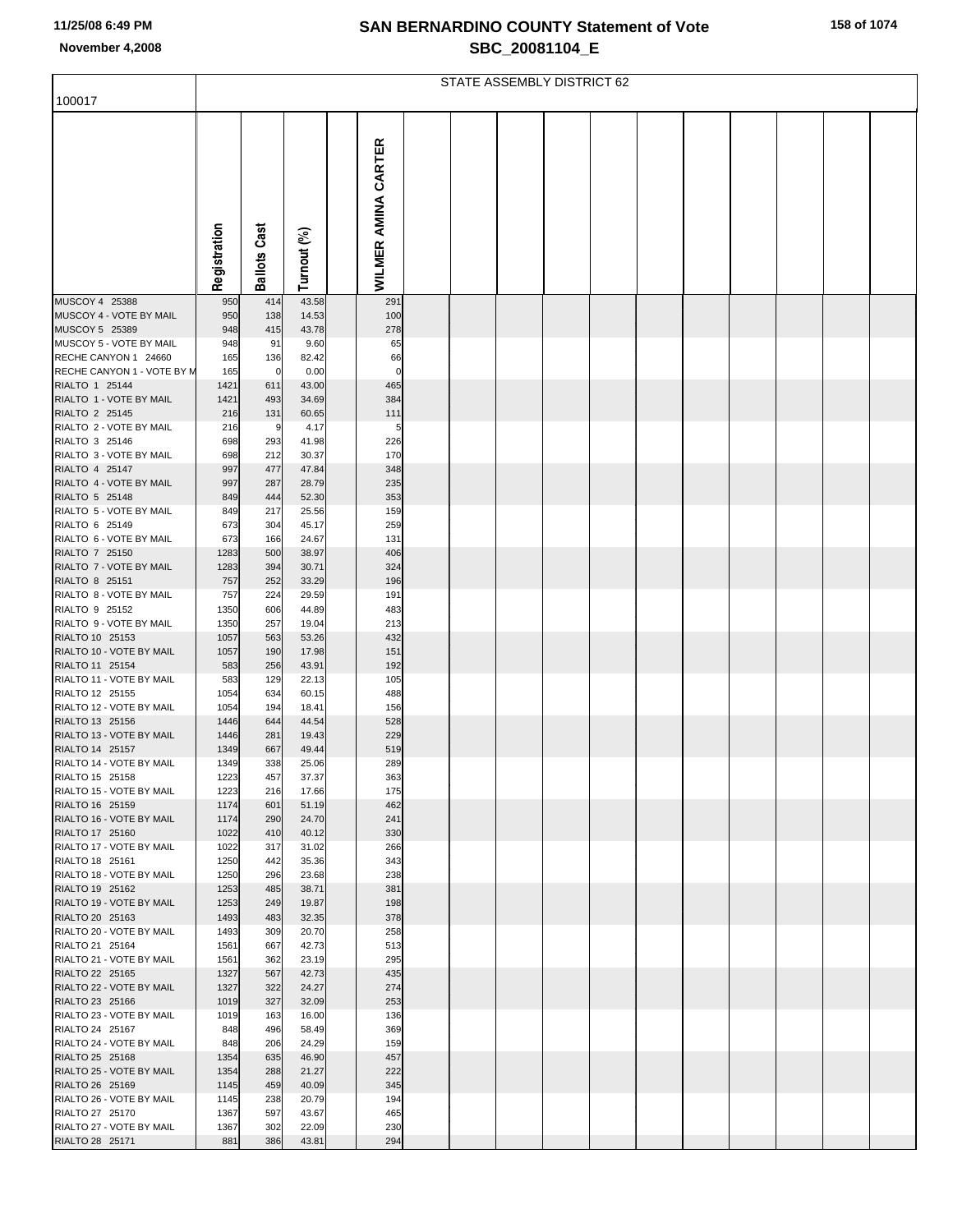| 158 of 1074 |  |
|-------------|--|
|-------------|--|

| 100017                                      |              | STATE ASSEMBLY DISTRICT 62 |                |                            |  |  |  |  |  |  |  |  |  |
|---------------------------------------------|--------------|----------------------------|----------------|----------------------------|--|--|--|--|--|--|--|--|--|
|                                             |              |                            |                |                            |  |  |  |  |  |  |  |  |  |
|                                             | Registration | Cast<br><b>Ballots</b>     | Turnout (%)    | <b>WILMER AMINA CARTER</b> |  |  |  |  |  |  |  |  |  |
| MUSCOY 4 25388                              | 950          | 414                        | 43.58          | 291                        |  |  |  |  |  |  |  |  |  |
| MUSCOY 4 - VOTE BY MAIL<br>MUSCOY 5 25389   | 950<br>948   | 138<br>415                 | 14.53<br>43.78 | 100<br>278                 |  |  |  |  |  |  |  |  |  |
| MUSCOY 5 - VOTE BY MAIL                     | 948          | 91                         | 9.60           | 65                         |  |  |  |  |  |  |  |  |  |
| RECHE CANYON 1 24660                        | 165          | 136                        | 82.42          | 66                         |  |  |  |  |  |  |  |  |  |
| RECHE CANYON 1 - VOTE BY M                  | 165          | 0                          | 0.00           | $\mathbf 0$                |  |  |  |  |  |  |  |  |  |
| RIALTO 1 25144<br>RIALTO 1 - VOTE BY MAIL   | 1421         | 611                        | 43.00          | 465                        |  |  |  |  |  |  |  |  |  |
| RIALTO 2 25145                              | 1421<br>216  | 493<br>131                 | 34.69<br>60.65 | 384<br>111                 |  |  |  |  |  |  |  |  |  |
| RIALTO 2 - VOTE BY MAIL                     | 216          | 9                          | 4.17           | 5                          |  |  |  |  |  |  |  |  |  |
| RIALTO 3 25146                              | 698          | 293                        | 41.98          | 226                        |  |  |  |  |  |  |  |  |  |
| RIALTO 3 - VOTE BY MAIL                     | 698          | 212                        | 30.37          | 170                        |  |  |  |  |  |  |  |  |  |
| RIALTO 4 25147<br>RIALTO 4 - VOTE BY MAIL   | 997<br>997   | 477<br>287                 | 47.84<br>28.79 | 348<br>235                 |  |  |  |  |  |  |  |  |  |
| RIALTO 5 25148                              | 849          | 444                        | 52.30          | 353                        |  |  |  |  |  |  |  |  |  |
| RIALTO 5 - VOTE BY MAIL                     | 849          | 217                        | 25.56          | 159                        |  |  |  |  |  |  |  |  |  |
| RIALTO 6 25149                              | 673          | 304                        | 45.17          | 259                        |  |  |  |  |  |  |  |  |  |
| RIALTO 6 - VOTE BY MAIL                     | 673          | 166                        | 24.67          | 131                        |  |  |  |  |  |  |  |  |  |
| RIALTO 7 25150<br>RIALTO 7 - VOTE BY MAIL   | 1283<br>1283 | 500<br>394                 | 38.97<br>30.71 | 406<br>324                 |  |  |  |  |  |  |  |  |  |
| RIALTO 8 25151                              | 757          | 252                        | 33.29          | 196                        |  |  |  |  |  |  |  |  |  |
| RIALTO 8 - VOTE BY MAIL                     | 757          | 224                        | 29.59          | 191                        |  |  |  |  |  |  |  |  |  |
| RIALTO 9 25152                              | 1350         | 606                        | 44.89          | 483                        |  |  |  |  |  |  |  |  |  |
| RIALTO 9 - VOTE BY MAIL<br>RIALTO 10 25153  | 1350<br>1057 | 257<br>563                 | 19.04<br>53.26 | 213<br>432                 |  |  |  |  |  |  |  |  |  |
| RIALTO 10 - VOTE BY MAIL                    | 1057         | 190                        | 17.98          | 151                        |  |  |  |  |  |  |  |  |  |
| RIALTO 11 25154                             | 583          | 256                        | 43.91          | 192                        |  |  |  |  |  |  |  |  |  |
| RIALTO 11 - VOTE BY MAIL                    | 583          | 129                        | 22.13          | 105                        |  |  |  |  |  |  |  |  |  |
| RIALTO 12 25155<br>RIALTO 12 - VOTE BY MAIL | 1054         | 634                        | 60.15          | 488                        |  |  |  |  |  |  |  |  |  |
| RIALTO 13 25156                             | 1054<br>1446 | 194<br>644                 | 18.41<br>44.54 | 156<br>528                 |  |  |  |  |  |  |  |  |  |
| RIALTO 13 - VOTE BY MAIL                    | 1446         | 281                        | 19.43          | 229                        |  |  |  |  |  |  |  |  |  |
| RIALTO 14 25157                             | 1349         | 667                        | 49.44          | 519                        |  |  |  |  |  |  |  |  |  |
| RIALTO 14 - VOTE BY MAIL                    | 1349         | 338                        | 25.06          | 289                        |  |  |  |  |  |  |  |  |  |
| RIALTO 15 25158<br>RIALTO 15 - VOTE BY MAIL | 1223<br>1223 | 457<br>216                 | 37.37<br>17.66 | 363<br>175                 |  |  |  |  |  |  |  |  |  |
| RIALTO 16 25159                             | 1174         | 601                        | 51.19          | 462                        |  |  |  |  |  |  |  |  |  |
| RIALTO 16 - VOTE BY MAIL                    | 1174         | 290                        | 24.70          | 241                        |  |  |  |  |  |  |  |  |  |
| RIALTO 17 25160                             | 1022         | 410                        | 40.12          | 330                        |  |  |  |  |  |  |  |  |  |
| RIALTO 17 - VOTE BY MAIL<br>RIALTO 18 25161 | 1022<br>1250 | 317<br>442                 | 31.02<br>35.36 | 266<br>343                 |  |  |  |  |  |  |  |  |  |
| RIALTO 18 - VOTE BY MAIL                    | 1250         | 296                        | 23.68          | 238                        |  |  |  |  |  |  |  |  |  |
| RIALTO 19 25162                             | 1253         | 485                        | 38.71          | 381                        |  |  |  |  |  |  |  |  |  |
| RIALTO 19 - VOTE BY MAIL                    | 1253         | 249                        | 19.87          | 198                        |  |  |  |  |  |  |  |  |  |
| RIALTO 20 25163                             | 1493         | 483                        | 32.35          | 378                        |  |  |  |  |  |  |  |  |  |
| RIALTO 20 - VOTE BY MAIL<br>RIALTO 21 25164 | 1493<br>1561 | 309<br>667                 | 20.70<br>42.73 | 258<br>513                 |  |  |  |  |  |  |  |  |  |
| RIALTO 21 - VOTE BY MAIL                    | 1561         | 362                        | 23.19          | 295                        |  |  |  |  |  |  |  |  |  |
| RIALTO 22 25165                             | 1327         | 567                        | 42.73          | 435                        |  |  |  |  |  |  |  |  |  |
| RIALTO 22 - VOTE BY MAIL                    | 1327         | 322                        | 24.27          | 274                        |  |  |  |  |  |  |  |  |  |
| RIALTO 23 25166<br>RIALTO 23 - VOTE BY MAIL | 1019<br>1019 | 327<br>163                 | 32.09<br>16.00 | 253<br>136                 |  |  |  |  |  |  |  |  |  |
| RIALTO 24 25167                             | 848          | 496                        | 58.49          | 369                        |  |  |  |  |  |  |  |  |  |
| RIALTO 24 - VOTE BY MAIL                    | 848          | 206                        | 24.29          | 159                        |  |  |  |  |  |  |  |  |  |
| RIALTO 25 25168                             | 1354         | 635                        | 46.90          | 457                        |  |  |  |  |  |  |  |  |  |
| RIALTO 25 - VOTE BY MAIL                    | 1354         | 288                        | 21.27          | 222                        |  |  |  |  |  |  |  |  |  |
| RIALTO 26 25169<br>RIALTO 26 - VOTE BY MAIL | 1145<br>1145 | 459<br>238                 | 40.09<br>20.79 | 345<br>194                 |  |  |  |  |  |  |  |  |  |
| RIALTO 27 25170                             | 1367         | 597                        | 43.67          | 465                        |  |  |  |  |  |  |  |  |  |
| RIALTO 27 - VOTE BY MAIL                    | 1367         | 302                        | 22.09          | 230                        |  |  |  |  |  |  |  |  |  |
| RIALTO 28 25171                             | 881          | 386                        | 43.81          | 294                        |  |  |  |  |  |  |  |  |  |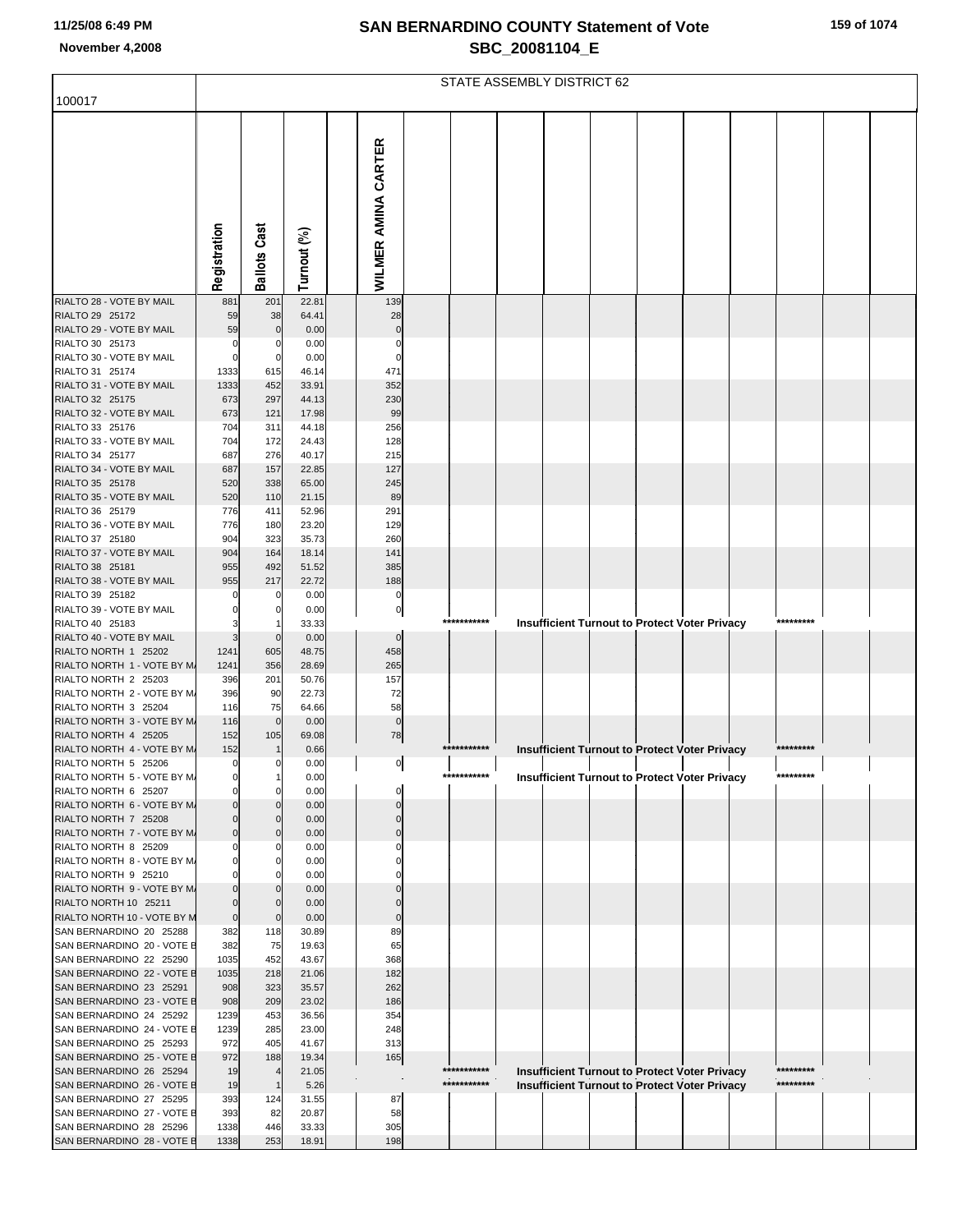| 159 of 1074 |  |
|-------------|--|
|-------------|--|

|                                                        |                    | STATE ASSEMBLY DISTRICT 62 |                |                            |             |                                                                   |  |  |  |  |
|--------------------------------------------------------|--------------------|----------------------------|----------------|----------------------------|-------------|-------------------------------------------------------------------|--|--|--|--|
| 100017                                                 |                    |                            |                |                            |             |                                                                   |  |  |  |  |
|                                                        | Registration       | <b>Ballots Cast</b>        | Turnout (%)    | <b>WILMER AMINA CARTER</b> |             |                                                                   |  |  |  |  |
| RIALTO 28 - VOTE BY MAIL                               | 881                | 201                        | 22.81          | 139                        |             |                                                                   |  |  |  |  |
| RIALTO 29 25172<br>RIALTO 29 - VOTE BY MAIL            | 59<br>59           | 38<br>$\mathbf 0$          | 64.41<br>0.00  | 28                         |             |                                                                   |  |  |  |  |
| RIALTO 30 25173                                        |                    |                            | 0.00           |                            |             |                                                                   |  |  |  |  |
| RIALTO 30 - VOTE BY MAIL                               |                    | 0                          | 0.00           |                            |             |                                                                   |  |  |  |  |
| RIALTO 31 25174                                        | 1333               | 615                        | 46.14          | 471                        |             |                                                                   |  |  |  |  |
| RIALTO 31 - VOTE BY MAIL<br>RIALTO 32 25175            | 1333<br>673        | 452<br>297                 | 33.91<br>44.13 | 352<br>230                 |             |                                                                   |  |  |  |  |
| RIALTO 32 - VOTE BY MAIL                               | 673                | 121                        | 17.98          | 99                         |             |                                                                   |  |  |  |  |
| RIALTO 33 25176                                        | 704                | 311                        | 44.18          | 256                        |             |                                                                   |  |  |  |  |
| RIALTO 33 - VOTE BY MAIL<br>RIALTO 34 25177            | 704<br>687         | 172<br>276                 | 24.43<br>40.17 | 128<br>215                 |             |                                                                   |  |  |  |  |
| RIALTO 34 - VOTE BY MAIL                               | 687                | 157                        | 22.85          | 127                        |             |                                                                   |  |  |  |  |
| RIALTO 35 25178                                        | 520                | 338                        | 65.00          | 245                        |             |                                                                   |  |  |  |  |
| RIALTO 35 - VOTE BY MAIL<br>RIALTO 36 25179            | 520<br>776         | 110<br>411                 | 21.15<br>52.96 | 89<br>291                  |             |                                                                   |  |  |  |  |
| RIALTO 36 - VOTE BY MAIL                               | 776                | 180                        | 23.20          | 129                        |             |                                                                   |  |  |  |  |
| RIALTO 37 25180                                        | 904                | 323                        | 35.73          | 260                        |             |                                                                   |  |  |  |  |
| RIALTO 37 - VOTE BY MAIL                               | 904                | 164                        | 18.14          | 141                        |             |                                                                   |  |  |  |  |
| RIALTO 38 25181<br>RIALTO 38 - VOTE BY MAIL            | 955<br>955         | 492<br>217                 | 51.52<br>22.72 | 385<br>188                 |             |                                                                   |  |  |  |  |
| RIALTO 39 25182                                        |                    | 0                          | 0.00           | 0                          |             |                                                                   |  |  |  |  |
| RIALTO 39 - VOTE BY MAIL                               |                    |                            | 0.00           | 0                          | *********** | *********                                                         |  |  |  |  |
| RIALTO 40 25183<br>RIALTO 40 - VOTE BY MAIL            |                    | $\mathbf 0$                | 33.33<br>0.00  | $\mathbf 0$                |             | <b>Insufficient Turnout to Protect Voter Privacy</b>              |  |  |  |  |
| RIALTO NORTH 1 25202                                   | 1241               | 605                        | 48.75          | 458                        |             |                                                                   |  |  |  |  |
| RIALTO NORTH 1 - VOTE BY M.                            | 1241               | 356                        | 28.69          | 265                        |             |                                                                   |  |  |  |  |
| RIALTO NORTH 2 25203<br>RIALTO NORTH 2 - VOTE BY M.    | 396<br>396         | 201<br>90                  | 50.76<br>22.73 | 157<br>72                  |             |                                                                   |  |  |  |  |
| RIALTO NORTH 3 25204                                   | 116                | 75                         | 64.66          | 58                         |             |                                                                   |  |  |  |  |
| RIALTO NORTH 3 - VOTE BY M.                            | 116                | $\mathbf 0$                | 0.00           | $\mathbf 0$                |             |                                                                   |  |  |  |  |
| RIALTO NORTH 4 25205<br>RIALTO NORTH 4 - VOTE BY M.    | 152<br>152         | 105<br>$\mathbf{1}$        | 69.08<br>0.66  | 78                         | *********** | *********                                                         |  |  |  |  |
| RIALTO NORTH 5 25206                                   | $\mathbf{0}$       | $\mathbf 0$                | 0.00           | $\overline{0}$             |             | <b>Insufficient Turnout to Protect Voter Privacy</b>              |  |  |  |  |
| RIALTO NORTH 5 - VOTE BY M.                            |                    |                            | 0.00           |                            | *********** | *********<br><b>Insufficient Turnout to Protect Voter Privacy</b> |  |  |  |  |
| RIALTO NORTH 6 25207                                   |                    | 0                          | 0.00           |                            |             |                                                                   |  |  |  |  |
| RIALTO NORTH 6 - VOTE BY M.<br>RIALTO NORTH 7 25208    |                    | $\mathbf 0$<br>$\mathbf 0$ | 0.00<br>0.00   |                            |             |                                                                   |  |  |  |  |
| RIALTO NORTH 7 - VOTE BY M.                            | $\Omega$           | $\mathbf 0$                | 0.00           |                            |             |                                                                   |  |  |  |  |
| RIALTO NORTH 8 25209<br>RIALTO NORTH 8 - VOTE BY M.    |                    | 0                          | 0.00           |                            |             |                                                                   |  |  |  |  |
| RIALTO NORTH 9 25210                                   |                    | 0                          | 0.00<br>0.00   |                            |             |                                                                   |  |  |  |  |
| RIALTO NORTH 9 - VOTE BY M.                            |                    | $\Omega$                   | 0.00           |                            |             |                                                                   |  |  |  |  |
| RIALTO NORTH 10 25211                                  |                    | $\Omega$                   | 0.00           |                            |             |                                                                   |  |  |  |  |
| RIALTO NORTH 10 - VOTE BY M<br>SAN BERNARDINO 20 25288 | $\mathbf 0$<br>382 | $\mathbf 0$<br>118         | 0.00<br>30.89  | 89                         |             |                                                                   |  |  |  |  |
| SAN BERNARDINO 20 - VOTE E                             | 382                | 75                         | 19.63          | 65                         |             |                                                                   |  |  |  |  |
| SAN BERNARDINO 22 25290                                | 1035               | 452                        | 43.67          | 368                        |             |                                                                   |  |  |  |  |
| SAN BERNARDINO 22 - VOTE E<br>SAN BERNARDINO 23 25291  | 1035<br>908        | 218<br>323                 | 21.06<br>35.57 | 182<br>262                 |             |                                                                   |  |  |  |  |
| SAN BERNARDINO 23 - VOTE E                             | 908                | 209                        | 23.02          | 186                        |             |                                                                   |  |  |  |  |
| SAN BERNARDINO 24 25292                                | 1239               | 453                        | 36.56          | 354                        |             |                                                                   |  |  |  |  |
| SAN BERNARDINO 24 - VOTE E<br>SAN BERNARDINO 25 25293  | 1239<br>972        | 285<br>405                 | 23.00<br>41.67 | 248<br>313                 |             |                                                                   |  |  |  |  |
| SAN BERNARDINO 25 - VOTE E                             | 972                | 188                        | 19.34          | 165                        |             |                                                                   |  |  |  |  |
| SAN BERNARDINO 26 25294                                | 19                 | $\overline{4}$             | 21.05          |                            | *********** | *********<br><b>Insufficient Turnout to Protect Voter Privacy</b> |  |  |  |  |
| SAN BERNARDINO 26 - VOTE E<br>SAN BERNARDINO 27 25295  | 19<br>393          | $\mathbf{1}$<br>124        | 5.26<br>31.55  | 87                         | *********** | *********<br><b>Insufficient Turnout to Protect Voter Privacy</b> |  |  |  |  |
| SAN BERNARDINO 27 - VOTE E                             | 393                | 82                         | 20.87          | 58                         |             |                                                                   |  |  |  |  |
| SAN BERNARDINO 28 25296                                | 1338               | 446                        | 33.33          | 305                        |             |                                                                   |  |  |  |  |
| SAN BERNARDINO 28 - VOTE E                             | 1338               | 253                        | 18.91          | 198                        |             |                                                                   |  |  |  |  |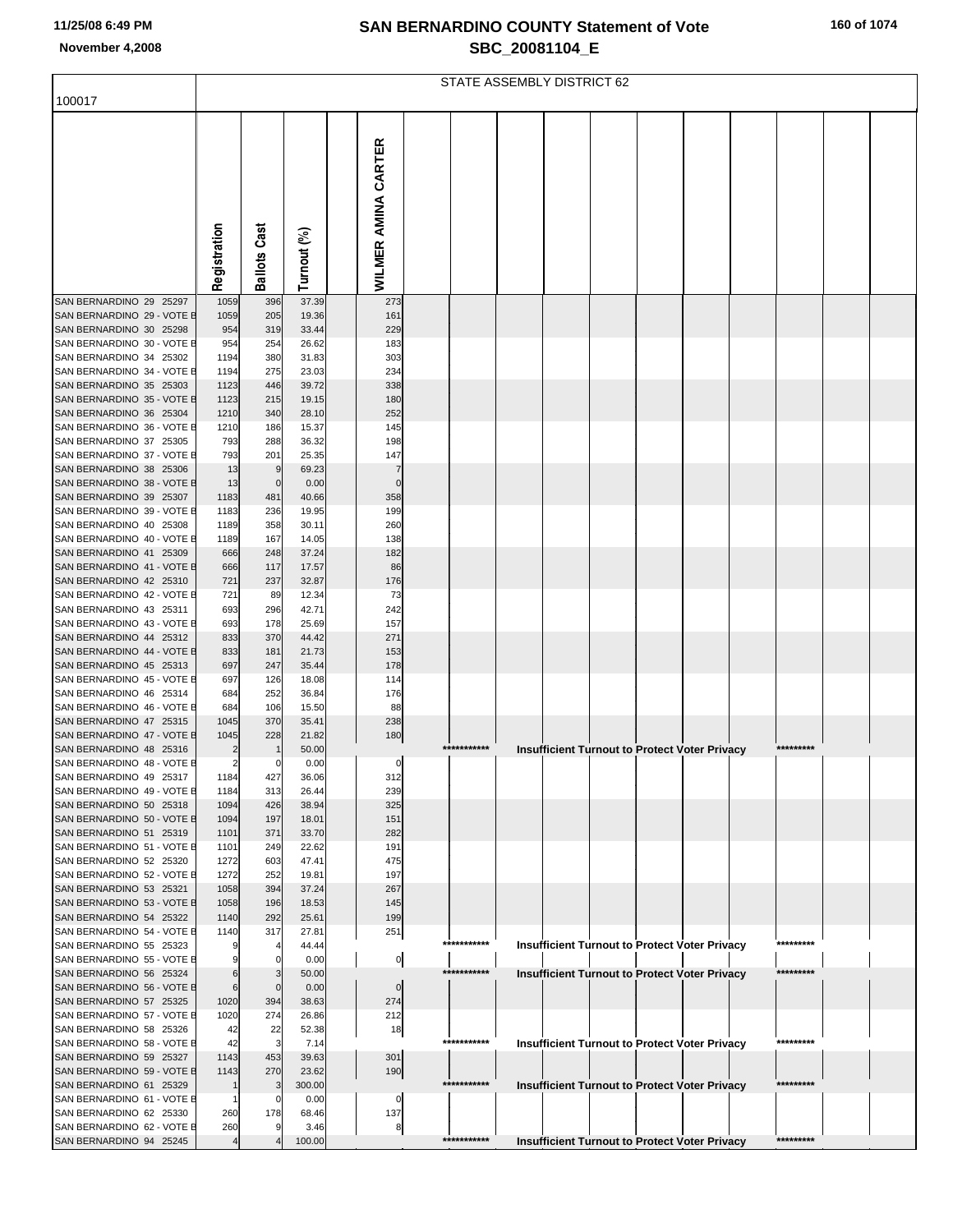|  |  |  | 160 of 1074 |  |
|--|--|--|-------------|--|
|--|--|--|-------------|--|

|                                                       |                | STATE ASSEMBLY DISTRICT 62 |                |                            |  |             |  |                                                      |  |  |  |  |           |  |  |
|-------------------------------------------------------|----------------|----------------------------|----------------|----------------------------|--|-------------|--|------------------------------------------------------|--|--|--|--|-----------|--|--|
| 100017                                                |                |                            |                |                            |  |             |  |                                                      |  |  |  |  |           |  |  |
|                                                       | Registration   | <b>Ballots Cast</b>        | Turnout (%)    | <b>WILMER AMINA CARTER</b> |  |             |  |                                                      |  |  |  |  |           |  |  |
| SAN BERNARDINO 29 25297                               | 1059           | 396                        | 37.39          | 273                        |  |             |  |                                                      |  |  |  |  |           |  |  |
| SAN BERNARDINO 29 - VOTE E                            | 1059           | 205                        | 19.36          | 161<br>229                 |  |             |  |                                                      |  |  |  |  |           |  |  |
| SAN BERNARDINO 30 25298<br>SAN BERNARDINO 30 - VOTE E | 954<br>954     | 319<br>254                 | 33.44<br>26.62 | 183                        |  |             |  |                                                      |  |  |  |  |           |  |  |
| SAN BERNARDINO 34 25302                               | 1194           | 380                        | 31.83          | 303                        |  |             |  |                                                      |  |  |  |  |           |  |  |
| SAN BERNARDINO 34 - VOTE E                            | 1194           | 275                        | 23.03          | 234                        |  |             |  |                                                      |  |  |  |  |           |  |  |
| SAN BERNARDINO 35 25303                               | 1123           | 446                        | 39.72          | 338                        |  |             |  |                                                      |  |  |  |  |           |  |  |
| SAN BERNARDINO 35 - VOTE E                            | 1123           | 215                        | 19.15          | 180                        |  |             |  |                                                      |  |  |  |  |           |  |  |
| SAN BERNARDINO 36 25304                               | 1210           | 340                        | 28.10          | 252                        |  |             |  |                                                      |  |  |  |  |           |  |  |
| SAN BERNARDINO 36 - VOTE E<br>SAN BERNARDINO 37 25305 | 1210<br>793    | 186<br>288                 | 15.37<br>36.32 | 145<br>198                 |  |             |  |                                                      |  |  |  |  |           |  |  |
| SAN BERNARDINO 37 - VOTE E                            | 793            | 201                        | 25.35          | 147                        |  |             |  |                                                      |  |  |  |  |           |  |  |
| SAN BERNARDINO 38 25306                               | 13             | 9                          | 69.23          |                            |  |             |  |                                                      |  |  |  |  |           |  |  |
| SAN BERNARDINO 38 - VOTE E                            | 13             | $\mathbf 0$                | 0.00           | $\Omega$                   |  |             |  |                                                      |  |  |  |  |           |  |  |
| SAN BERNARDINO 39 25307                               | 1183           | 481                        | 40.66          | 358                        |  |             |  |                                                      |  |  |  |  |           |  |  |
| SAN BERNARDINO 39 - VOTE E                            | 1183           | 236                        | 19.95          | 199                        |  |             |  |                                                      |  |  |  |  |           |  |  |
| SAN BERNARDINO 40 25308                               | 1189           | 358                        | 30.11          | 260                        |  |             |  |                                                      |  |  |  |  |           |  |  |
| SAN BERNARDINO 40 - VOTE B<br>SAN BERNARDINO 41 25309 | 1189<br>666    | 167<br>248                 | 14.05<br>37.24 | 138<br>182                 |  |             |  |                                                      |  |  |  |  |           |  |  |
| SAN BERNARDINO 41 - VOTE E                            | 666            | 117                        | 17.57          | 86                         |  |             |  |                                                      |  |  |  |  |           |  |  |
| SAN BERNARDINO 42 25310                               | 721            | 237                        | 32.87          | 176                        |  |             |  |                                                      |  |  |  |  |           |  |  |
| SAN BERNARDINO 42 - VOTE E                            | 721            | 89                         | 12.34          | 73                         |  |             |  |                                                      |  |  |  |  |           |  |  |
| SAN BERNARDINO 43 25311                               | 693            | 296                        | 42.71          | 242                        |  |             |  |                                                      |  |  |  |  |           |  |  |
| SAN BERNARDINO 43 - VOTE E                            | 693            | 178                        | 25.69          | 157                        |  |             |  |                                                      |  |  |  |  |           |  |  |
| SAN BERNARDINO 44 25312<br>SAN BERNARDINO 44 - VOTE E | 833<br>833     | 370<br>181                 | 44.42<br>21.73 | 271<br>153                 |  |             |  |                                                      |  |  |  |  |           |  |  |
| SAN BERNARDINO 45 25313                               | 697            | 247                        | 35.44          | 178                        |  |             |  |                                                      |  |  |  |  |           |  |  |
| SAN BERNARDINO 45 - VOTE E                            | 697            | 126                        | 18.08          | 114                        |  |             |  |                                                      |  |  |  |  |           |  |  |
| SAN BERNARDINO 46 25314                               | 684            | 252                        | 36.84          | 176                        |  |             |  |                                                      |  |  |  |  |           |  |  |
| SAN BERNARDINO 46 - VOTE E                            | 684            | 106                        | 15.50          | 88                         |  |             |  |                                                      |  |  |  |  |           |  |  |
| SAN BERNARDINO 47 25315                               | 1045           | 370                        | 35.41          | 238                        |  |             |  |                                                      |  |  |  |  |           |  |  |
| SAN BERNARDINO 47 - VOTE E<br>SAN BERNARDINO 48 25316 | 1045           | 228<br>$\mathbf{1}$        | 21.82<br>50.00 | 180                        |  | *********** |  | <b>Insufficient Turnout to Protect Voter Privacy</b> |  |  |  |  | ********* |  |  |
| SAN BERNARDINO 48 - VOTE E                            | $\overline{2}$ | 0                          | 0.00           | $\mathsf{O}$               |  |             |  |                                                      |  |  |  |  |           |  |  |
| SAN BERNARDINO 49 25317                               | 1184           | 427                        | 36.06          | 312                        |  |             |  |                                                      |  |  |  |  |           |  |  |
| SAN BERNARDINO 49 - VOTE E                            | 1184           | 313                        | 26.44          | 239                        |  |             |  |                                                      |  |  |  |  |           |  |  |
| SAN BERNARDINO 50 25318                               | 1094           | 426                        | 38.94          | 325                        |  |             |  |                                                      |  |  |  |  |           |  |  |
| SAN BERNARDINO 50 - VOTE E                            | 1094           | 197                        | 18.01          | 151                        |  |             |  |                                                      |  |  |  |  |           |  |  |
| SAN BERNARDINO 51 25319<br>SAN BERNARDINO 51 - VOTE E | 1101           | 371<br>249                 | 33.70<br>22.62 | 282<br>191                 |  |             |  |                                                      |  |  |  |  |           |  |  |
| SAN BERNARDINO 52 25320                               | 1101<br>1272   | 603                        | 47.41          | 475                        |  |             |  |                                                      |  |  |  |  |           |  |  |
| SAN BERNARDINO 52 - VOTE E                            | 1272           | 252                        | 19.81          | 197                        |  |             |  |                                                      |  |  |  |  |           |  |  |
| SAN BERNARDINO 53 25321                               | 1058           | 394                        | 37.24          | 267                        |  |             |  |                                                      |  |  |  |  |           |  |  |
| SAN BERNARDINO 53 - VOTE E                            | 1058           | 196                        | 18.53          | 145                        |  |             |  |                                                      |  |  |  |  |           |  |  |
| SAN BERNARDINO 54 25322                               | 1140           | 292                        | 25.61          | 199                        |  |             |  |                                                      |  |  |  |  |           |  |  |
| SAN BERNARDINO 54 - VOTE E<br>SAN BERNARDINO 55 25323 | 1140           | 317<br>$\overline{4}$      | 27.81<br>44.44 | 251                        |  | *********** |  |                                                      |  |  |  |  | ********* |  |  |
| SAN BERNARDINO 55 - VOTE E                            |                | $\mathbf 0$                | 0.00           | $\overline{0}$             |  |             |  | <b>Insufficient Turnout to Protect Voter Privacy</b> |  |  |  |  |           |  |  |
| SAN BERNARDINO 56 25324                               | 6              | 3                          | 50.00          |                            |  | *********** |  | Insufficient Turnout to Protect Voter Privacy        |  |  |  |  | ********  |  |  |
| SAN BERNARDINO 56 - VOTE E                            | 6              | $\mathbf 0$                | 0.00           | $\overline{0}$             |  |             |  |                                                      |  |  |  |  |           |  |  |
| SAN BERNARDINO 57 25325                               | 1020           | 394                        | 38.63          | 274                        |  |             |  |                                                      |  |  |  |  |           |  |  |
| SAN BERNARDINO 57 - VOTE E                            | 1020           | 274                        | 26.86          | 212                        |  |             |  |                                                      |  |  |  |  |           |  |  |
| SAN BERNARDINO 58 25326<br>SAN BERNARDINO 58 - VOTE E | 42<br>42       | 22<br>3                    | 52.38<br>7.14  | 18                         |  | *********** |  |                                                      |  |  |  |  | ********* |  |  |
| SAN BERNARDINO 59 25327                               | 1143           | 453                        | 39.63          | 301                        |  |             |  | <b>Insufficient Turnout to Protect Voter Privacy</b> |  |  |  |  |           |  |  |
| SAN BERNARDINO 59 - VOTE E                            | 1143           | 270                        | 23.62          | 190                        |  |             |  |                                                      |  |  |  |  |           |  |  |
| SAN BERNARDINO 61 25329                               |                | 3                          | 300.00         |                            |  | *********** |  | Insufficient Turnout to Protect Voter Privacy        |  |  |  |  | ********* |  |  |
| SAN BERNARDINO 61 - VOTE E                            |                | 0                          | 0.00           | $\mathbf{0}$               |  |             |  |                                                      |  |  |  |  |           |  |  |
| SAN BERNARDINO 62 25330                               | 260            | 178                        | 68.46          | 137                        |  |             |  |                                                      |  |  |  |  |           |  |  |
| SAN BERNARDINO 62 - VOTE E<br>SAN BERNARDINO 94 25245 | 260            | 9                          | 3.46<br>100.00 | 8                          |  | *********** |  |                                                      |  |  |  |  | ********* |  |  |
|                                                       |                |                            |                |                            |  |             |  | <b>Insufficient Turnout to Protect Voter Privacy</b> |  |  |  |  |           |  |  |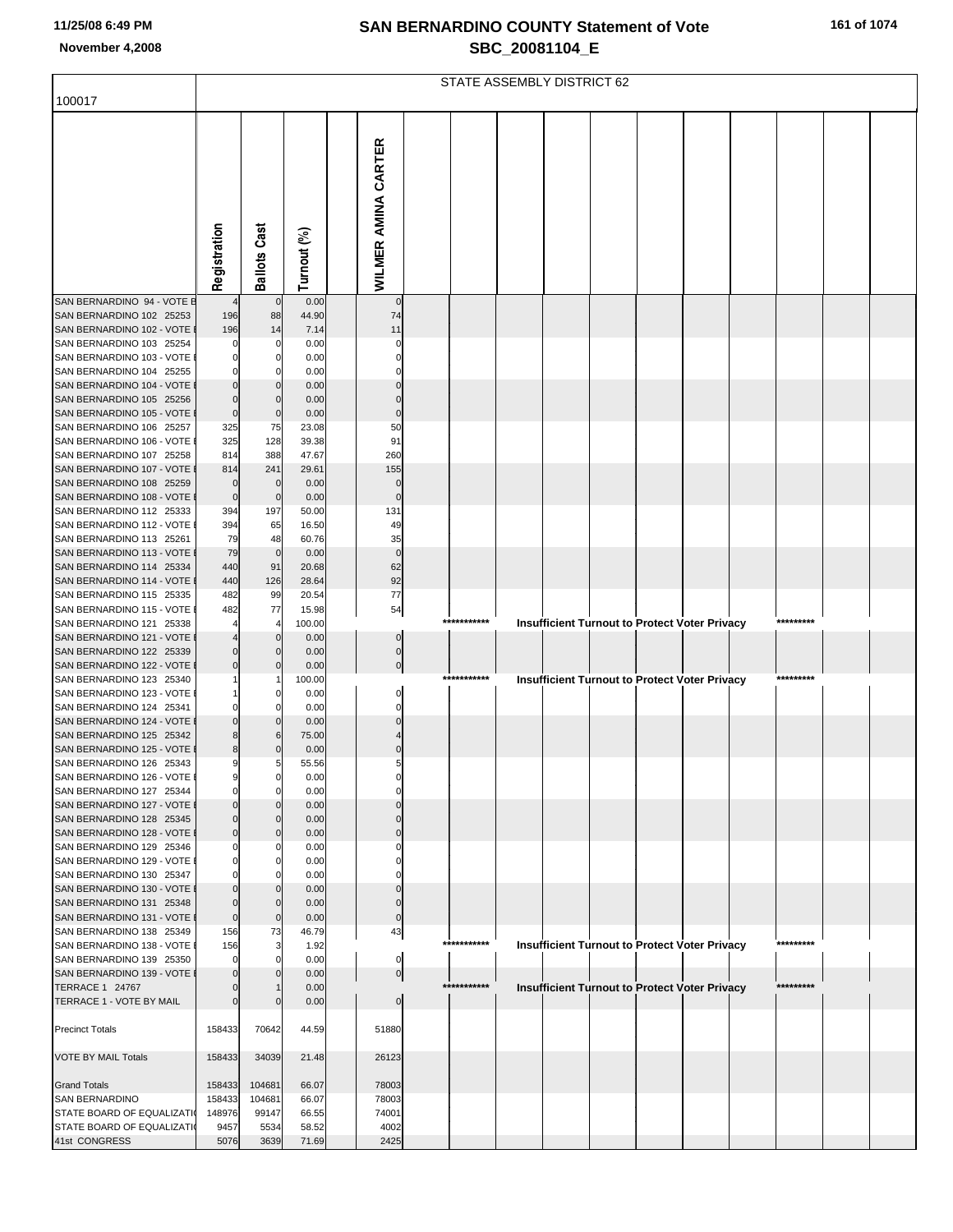|  |  |  |  | 161 of 1074 |
|--|--|--|--|-------------|
|--|--|--|--|-------------|

|                                                       | STATE ASSEMBLY DISTRICT 62 |                     |                 |                            |             |  |                                                      |  |  |  |  |           |  |
|-------------------------------------------------------|----------------------------|---------------------|-----------------|----------------------------|-------------|--|------------------------------------------------------|--|--|--|--|-----------|--|
| 100017                                                |                            |                     |                 |                            |             |  |                                                      |  |  |  |  |           |  |
|                                                       | Registration               | <b>Ballots Cast</b> | Turnout (%)     | <b>WILMER AMINA CARTER</b> |             |  |                                                      |  |  |  |  |           |  |
| SAN BERNARDINO 94 - VOTE E                            |                            | $\mathbf 0$         | 0.00            | $\mathbf 0$                |             |  |                                                      |  |  |  |  |           |  |
| SAN BERNARDINO 102 25253<br>SAN BERNARDINO 102 - VOTE | 196<br>196                 | 88<br>14            | 44.90<br>7.14   | 74<br>11                   |             |  |                                                      |  |  |  |  |           |  |
| SAN BERNARDINO 103 25254                              |                            | 0                   | 0.00            | 0                          |             |  |                                                      |  |  |  |  |           |  |
| SAN BERNARDINO 103 - VOTE                             |                            | C                   | 0.00            |                            |             |  |                                                      |  |  |  |  |           |  |
| SAN BERNARDINO 104 25255                              |                            | C                   | 0.00            |                            |             |  |                                                      |  |  |  |  |           |  |
| SAN BERNARDINO 104 - VOTE                             |                            |                     | 0.00            |                            |             |  |                                                      |  |  |  |  |           |  |
| SAN BERNARDINO 105 25256                              | 0                          | $\Omega$            | 0.00            |                            |             |  |                                                      |  |  |  |  |           |  |
| SAN BERNARDINO 105 - VOTE                             | $\pmb{0}$                  | $\mathbf 0$         | 0.00            | $\Omega$                   |             |  |                                                      |  |  |  |  |           |  |
| SAN BERNARDINO 106 25257<br>SAN BERNARDINO 106 - VOTE | 325<br>325                 | 75<br>128           | 23.08<br>39.38  | 50<br>91                   |             |  |                                                      |  |  |  |  |           |  |
| SAN BERNARDINO 107 25258                              | 814                        | 388                 | 47.67           | 260                        |             |  |                                                      |  |  |  |  |           |  |
| SAN BERNARDINO 107 - VOTE                             | 814                        | 241                 | 29.61           | 155                        |             |  |                                                      |  |  |  |  |           |  |
| SAN BERNARDINO 108 25259                              | 0                          | $\mathbf 0$         | 0.00            | 0                          |             |  |                                                      |  |  |  |  |           |  |
| SAN BERNARDINO 108 - VOTE                             | $\pmb{0}$                  | $\mathbf 0$         | 0.00            | $\overline{0}$             |             |  |                                                      |  |  |  |  |           |  |
| SAN BERNARDINO 112 25333                              | 394                        | 197                 | 50.00           | 131                        |             |  |                                                      |  |  |  |  |           |  |
| SAN BERNARDINO 112 - VOTE<br>SAN BERNARDINO 113 25261 | 394<br>79                  | 65<br>48            | 16.50<br>60.76  | 49<br>35                   |             |  |                                                      |  |  |  |  |           |  |
| SAN BERNARDINO 113 - VOTE                             | 79                         | $\pmb{0}$           | 0.00            | $\mathbf 0$                |             |  |                                                      |  |  |  |  |           |  |
| SAN BERNARDINO 114 25334                              | 440                        | 91                  | 20.68           | 62                         |             |  |                                                      |  |  |  |  |           |  |
| SAN BERNARDINO 114 - VOTE                             | 440                        | 126                 | 28.64           | 92                         |             |  |                                                      |  |  |  |  |           |  |
| SAN BERNARDINO 115 25335                              | 482                        | 99                  | 20.54           | $77$                       |             |  |                                                      |  |  |  |  |           |  |
| SAN BERNARDINO 115 - VOTE<br>SAN BERNARDINO 121 25338 | 482                        | 77<br>4             | 15.98<br>100.00 | 54                         | *********** |  | Insufficient Turnout to Protect Voter Privacy        |  |  |  |  | ********  |  |
| SAN BERNARDINO 121 - VOTE                             |                            | $\Omega$            | 0.00            |                            |             |  |                                                      |  |  |  |  |           |  |
| SAN BERNARDINO 122 25339                              | 0                          | $\Omega$            | 0.00            | 0                          |             |  |                                                      |  |  |  |  |           |  |
| SAN BERNARDINO 122 - VOTE                             | 0                          | $\Omega$            | 0.00            |                            |             |  |                                                      |  |  |  |  |           |  |
| SAN BERNARDINO 123 25340                              |                            |                     | 100.00          |                            | *********** |  | Insufficient Turnout to Protect Voter Privacy        |  |  |  |  | ********  |  |
| SAN BERNARDINO 123 - VOTE                             |                            | C                   | 0.00            |                            |             |  |                                                      |  |  |  |  |           |  |
| SAN BERNARDINO 124 25341<br>SAN BERNARDINO 124 - VOTE |                            | $\sqrt{ }$<br>0     | 0.00<br>0.00    | 0                          |             |  |                                                      |  |  |  |  |           |  |
| SAN BERNARDINO 125 25342                              | 8                          | 6                   | 75.00           |                            |             |  |                                                      |  |  |  |  |           |  |
| SAN BERNARDINO 125 - VOTE                             | 8                          | 0                   | 0.00            |                            |             |  |                                                      |  |  |  |  |           |  |
| SAN BERNARDINO 126 25343                              | 9                          | 5                   | 55.56           | 5                          |             |  |                                                      |  |  |  |  |           |  |
| SAN BERNARDINO 126 - VOTE I                           |                            |                     | 0.00            |                            |             |  |                                                      |  |  |  |  |           |  |
| SAN BERNARDINO 127 25344                              |                            |                     | 0.00            |                            |             |  |                                                      |  |  |  |  |           |  |
| SAN BERNARDINO 127 - VOTE<br>SAN BERNARDINO 128 25345 |                            | $\Omega$            | 0.00<br>0.00    |                            |             |  |                                                      |  |  |  |  |           |  |
| SAN BERNARDINO 128 - VOTE                             | 0                          | $\Omega$            | 0.00            |                            |             |  |                                                      |  |  |  |  |           |  |
| SAN BERNARDINO 129 25346                              |                            | C                   | 0.00            |                            |             |  |                                                      |  |  |  |  |           |  |
| SAN BERNARDINO 129 - VOTE                             |                            | C                   | 0.00            |                            |             |  |                                                      |  |  |  |  |           |  |
| SAN BERNARDINO 130 25347<br>SAN BERNARDINO 130 - VOTE |                            | $\sqrt{ }$          | 0.00<br>0.00    |                            |             |  |                                                      |  |  |  |  |           |  |
| SAN BERNARDINO 131 25348                              |                            | $\Omega$            | 0.00            |                            |             |  |                                                      |  |  |  |  |           |  |
| SAN BERNARDINO 131 - VOTE                             | 0                          | $\mathbf 0$         | 0.00            | 0                          |             |  |                                                      |  |  |  |  |           |  |
| SAN BERNARDINO 138 25349                              | 156                        | 73                  | 46.79           | 43                         |             |  |                                                      |  |  |  |  |           |  |
| SAN BERNARDINO 138 - VOTE                             | 156                        | 3                   | 1.92            |                            | *********** |  | <b>Insufficient Turnout to Protect Voter Privacy</b> |  |  |  |  | ********* |  |
| SAN BERNARDINO 139 25350<br>SAN BERNARDINO 139 - VOTE |                            | $\Omega$            | 0.00<br>0.00    | 0                          |             |  |                                                      |  |  |  |  |           |  |
| <b>TERRACE 1 24767</b>                                |                            |                     | 0.00            | $\overline{0}$             | *********** |  | Insufficient Turnout to Protect Voter Privacy        |  |  |  |  | ********* |  |
| TERRACE 1 - VOTE BY MAIL                              |                            |                     | 0.00            | $\overline{0}$             |             |  |                                                      |  |  |  |  |           |  |
|                                                       |                            |                     |                 |                            |             |  |                                                      |  |  |  |  |           |  |
| <b>Precinct Totals</b>                                | 158433                     | 70642               | 44.59           | 51880                      |             |  |                                                      |  |  |  |  |           |  |
| <b>VOTE BY MAIL Totals</b>                            | 158433                     | 34039               | 21.48           | 26123                      |             |  |                                                      |  |  |  |  |           |  |
| <b>Grand Totals</b>                                   | 158433                     | 104681              | 66.07           | 78003                      |             |  |                                                      |  |  |  |  |           |  |
| SAN BERNARDINO                                        | 158433                     | 104681              | 66.07           | 78003                      |             |  |                                                      |  |  |  |  |           |  |
| STATE BOARD OF EQUALIZATI                             | 148976                     | 99147               | 66.55           | 74001                      |             |  |                                                      |  |  |  |  |           |  |
| STATE BOARD OF EQUALIZATI                             | 9457                       | 5534                | 58.52           | 4002                       |             |  |                                                      |  |  |  |  |           |  |
| 41st CONGRESS                                         | 5076                       | 3639                | 71.69           | 2425                       |             |  |                                                      |  |  |  |  |           |  |